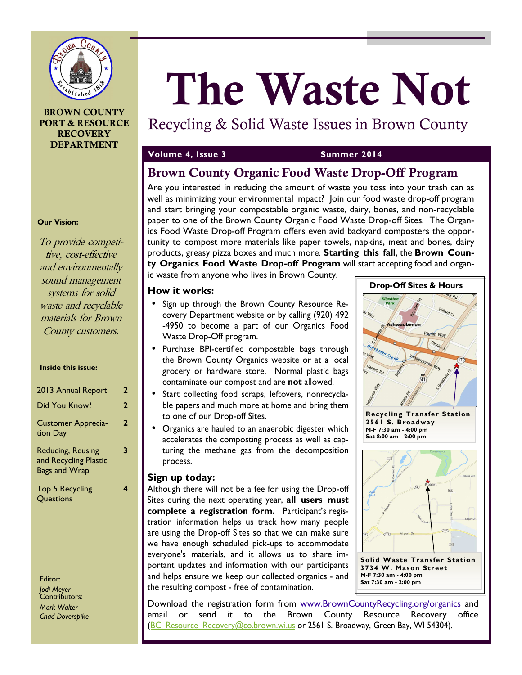

#### **BROWN COUNTY PORT & RESOURCE RECOVERY DEPARTMENT**

# **The Waste Not**

## Recycling & Solid Waste Issues in Brown County

#### **Volume 4, Issue 3 Summer 2014**

## **Brown County Organic Food Waste Drop-Off Program**

Are you interested in reducing the amount of waste you toss into your trash can as well as minimizing your environmental impact? Join our food waste drop-off program and start bringing your compostable organic waste, dairy, bones, and non-recyclable paper to one of the Brown County Organic Food Waste Drop-off Sites. The Organics Food Waste Drop-off Program offers even avid backyard composters the opportunity to compost more materials like paper towels, napkins, meat and bones, dairy products, greasy pizza boxes and much more*.* **Starting this fall**, the **Brown County Organics Food Waste Drop-off Program** will start accepting food and organ-

ic waste from anyone who lives in Brown County.

#### **How it works:**

- Sign up through the Brown County Resource Recovery Department website or by calling (920) 492 -4950 to become a part of our Organics Food Waste Drop-Off program.
- Purchase BPI-certified compostable bags through the Brown County Organics website or at a local grocery or hardware store. Normal plastic bags contaminate our compost and are **not** allowed.
- Start collecting food scraps, leftovers, nonrecyclable papers and much more at home and bring them to one of our Drop-off Sites.
- Organics are hauled to an anaerobic digester which accelerates the composting process as well as capturing the methane gas from the decomposition process.

#### **Sign up today:**

Although there will not be a fee for using the Drop-off Sites during the next operating year, **all users must complete a registration form.** Participant's registration information helps us track how many people are using the Drop-off Sites so that we can make sure we have enough scheduled pick-ups to accommodate everyone's materials, and it allows us to share important updates and information with our participants and helps ensure we keep our collected organics - and the resulting compost - free of contamination.

lipsti.<br>Park  $\mathbf{v}$ Ashwaubenor Pilgrim Way **Recycling Transfer Station 2561 S. Broadway M-F 7:30 am - 4:00 pm Sat 8:00 am - 2:00 pm**   $\overline{34}$  $(172)$ **Solid Waste Transfer Station 3734 W. Mason Street** 

**Drop-Off Sites & Hours** 

**M-F 7:30 am - 4:00 pm Sat 7:30 am - 2:00 pm** 

Download the registration form from www.BrownCountyRecycling.org/organics and email or send it to the Brown County Resource Recovery office (BC\_Resource\_Recovery@co.brown.wi.us or 2561 S. Broadway, Green Bay, WI 54304).

#### **Our Vision:**

To provide competitive, cost-effective and environmentally sound management systems for solid waste and recyclable materials for Brown County customers.

#### **Inside this issue:**

| 2013 Annual Report                                                 | 2 |
|--------------------------------------------------------------------|---|
| Did You Know?                                                      | 2 |
| <b>Customer Apprecia-</b><br>tion Day                              | 2 |
| Reducing, Reusing<br>and Recycling Plastic<br><b>Bags and Wrap</b> |   |
| Top 5 Recycling<br>Questions                                       |   |

Editor: *Jodi Meyer*  Contributors: *Mark Walter Chad Doverspike*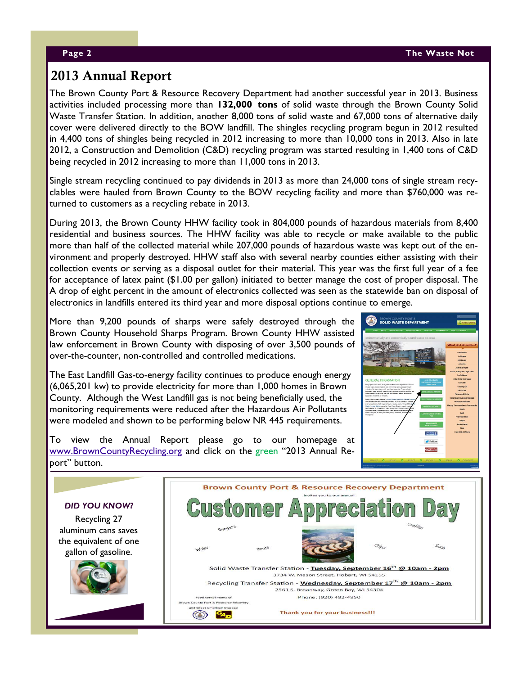## **2013 Annual Report**

The Brown County Port & Resource Recovery Department had another successful year in 2013. Business activities included processing more than **132,000 tons** of solid waste through the Brown County Solid Waste Transfer Station. In addition, another 8,000 tons of solid waste and 67,000 tons of alternative daily cover were delivered directly to the BOW landfill. The shingles recycling program begun in 2012 resulted in 4,400 tons of shingles being recycled in 2012 increasing to more than 10,000 tons in 2013. Also in late 2012, a Construction and Demolition (C&D) recycling program was started resulting in 1,400 tons of C&D being recycled in 2012 increasing to more than 11,000 tons in 2013.

Single stream recycling continued to pay dividends in 2013 as more than 24,000 tons of single stream recyclables were hauled from Brown County to the BOW recycling facility and more than \$760,000 was returned to customers as a recycling rebate in 2013.

During 2013, the Brown County HHW facility took in 804,000 pounds of hazardous materials from 8,400 residential and business sources. The HHW facility was able to recycle or make available to the public more than half of the collected material while 207,000 pounds of hazardous waste was kept out of the environment and properly destroyed. HHW staff also with several nearby counties either assisting with their collection events or serving as a disposal outlet for their material. This year was the first full year of a fee for acceptance of latex paint (\$1.00 per gallon) initiated to better manage the cost of proper disposal. The A drop of eight percent in the amount of electronics collected was seen as the statewide ban on disposal of electronics in landfills entered its third year and more disposal options continue to emerge.

More than 9,200 pounds of sharps were safely destroyed through the Brown County Household Sharps Program. Brown County HHW assisted law enforcement in Brown County with disposing of over 3,500 pounds of over-the-counter, non-controlled and controlled medications.

The East Landfill Gas-to-energy facility continues to produce enough energy (6,065,201 kw) to provide electricity for more than 1,000 homes in Brown County. Although the West Landfill gas is not being beneficially used, the monitoring requirements were reduced after the Hazardous Air Pollutants were modeled and shown to be performing below NR 445 requirements.



To view the Annual Report please go to our homepage at www.BrownCountyRecycling.org and click on the green "2013 Annual Report" button.

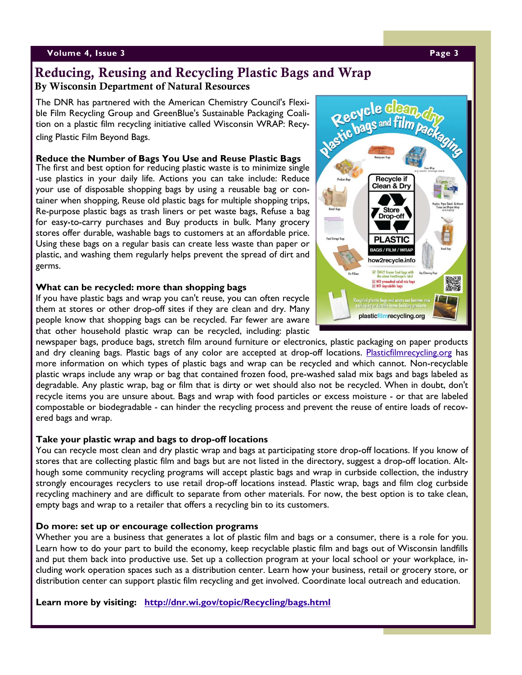#### **Volume 4, Issue 3 Page 3**

## **Reducing, Reusing and Recycling Plastic Bags and Wrap By Wisconsin Department of Natural Resources**

The DNR has partnered with the American Chemistry Council's Flexible Film Recycling Group and GreenBlue's Sustainable Packaging Coalition on a plastic film recycling initiative called Wisconsin WRAP: Recycling Plastic Film Beyond Bags.

#### **Reduce the Number of Bags You Use and Reuse Plastic Bags**

The first and best option for reducing plastic waste is to minimize single -use plastics in your daily life. Actions you can take include: Reduce your use of disposable shopping bags by using a reusable bag or container when shopping, Reuse old plastic bags for multiple shopping trips, Re-purpose plastic bags as trash liners or pet waste bags, Refuse a bag for easy-to-carry purchases and Buy products in bulk. Many grocery stores offer durable, washable bags to customers at an affordable price. Using these bags on a regular basis can create less waste than paper or plastic, and washing them regularly helps prevent the spread of dirt and germs.

#### **What can be recycled: more than shopping bags**

If you have plastic bags and wrap you can't reuse, you can often recycle them at stores or other drop-off sites if they are clean and dry. Many people know that shopping bags can be recycled. Far fewer are aware that other household plastic wrap can be recycled, including: plastic

Recycle clean Recycle designed film packaging **Recycle if** Clean & Dry **Store** Drop-off **PLASTIC BAGS / FILM / WRA** how2recycle.info ONLY frozen food bags with Dry Classing NO prewashed salad mix bags<br>NO degradable bags a plestic bags and wraps can becc<br>ging or durable home building pro plasticfilmrecycling.org

newspaper bags, produce bags, stretch film around furniture or electronics, plastic packaging on paper products and dry cleaning bags. Plastic bags of any color are accepted at drop-off locations. Plasticfilmrecycling.org has more information on which types of plastic bags and wrap can be recycled and which cannot. Non-recyclable plastic wraps include any wrap or bag that contained frozen food, pre-washed salad mix bags and bags labeled as degradable. Any plastic wrap, bag or film that is dirty or wet should also not be recycled. When in doubt, don't recycle items you are unsure about. Bags and wrap with food particles or excess moisture - or that are labeled compostable or biodegradable - can hinder the recycling process and prevent the reuse of entire loads of recovered bags and wrap.

#### **Take your plastic wrap and bags to drop-off locations**

You can recycle most clean and dry plastic wrap and bags at participating store drop-off locations. If you know of stores that are collecting plastic film and bags but are not listed in the directory, suggest a drop-off location. Although some community recycling programs will accept plastic bags and wrap in curbside collection, the industry strongly encourages recyclers to use retail drop-off locations instead. Plastic wrap, bags and film clog curbside recycling machinery and are difficult to separate from other materials. For now, the best option is to take clean, empty bags and wrap to a retailer that offers a recycling bin to its customers.

#### **Do more: set up or encourage collection programs**

Whether you are a business that generates a lot of plastic film and bags or a consumer, there is a role for you. Learn how to do your part to build the economy, keep recyclable plastic film and bags out of Wisconsin landfills and put them back into productive use. Set up a collection program at your local school or your workplace, including work operation spaces such as a distribution center. Learn how your business, retail or grocery store, or distribution center can support plastic film recycling and get involved. Coordinate local outreach and education.

**Learn more by visiting: http://dnr.wi.gov/topic/Recycling/bags.html**